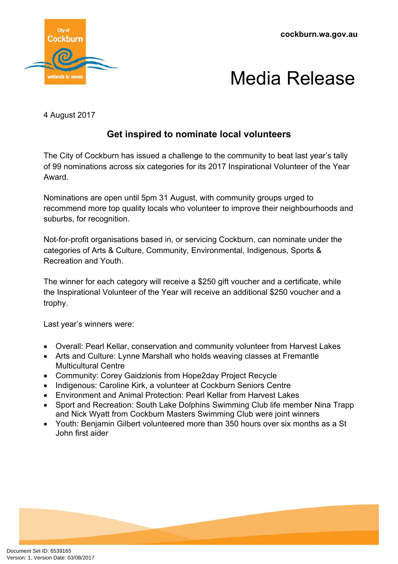**cockburn.wa.gov.au**





4 August 2017

## **Get inspired to nominate local volunteers**

The City of Cockburn has issued a challenge to the community to beat last year's tally of 99 nominations across six categories for its 2017 Inspirational Volunteer of the Year Award.

Nominations are open until 5pm 31 August, with community groups urged to recommend more top quality locals who volunteer to improve their neighbourhoods and suburbs, for recognition.

Not-for-profit organisations based in, or servicing Cockburn, can nominate under the categories of Arts & Culture, Community, Environmental, Indigenous, Sports & Recreation and Youth.

The winner for each category will receive a \$250 gift voucher and a certificate, while the Inspirational Volunteer of the Year will receive an additional \$250 voucher and a trophy.

Last year's winners were:

- Overall: Pearl Kellar, conservation and community volunteer from Harvest Lakes
- Arts and Culture: Lynne Marshall who holds weaving classes at Fremantle Multicultural Centre
- Community: Corey Gaidzionis from Hope2day Project Recycle
- Indigenous: Caroline Kirk, a volunteer at Cockburn Seniors Centre
- Environment and Animal Protection: Pearl Kellar from Harvest Lakes
- Sport and Recreation: South Lake Dolphins Swimming Club life member Nina Trapp and Nick Wyatt from Cockburn Masters Swimming Club were joint winners
- Youth: Benjamin Gilbert volunteered more than 350 hours over six months as a St John first aider